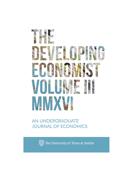

# AN UNDERGRADUATE **JOURNAL OF ECONOMICS**



The University of Texas at Austin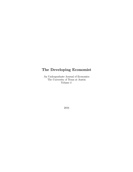## The Developing Economist

An Undergraduate Journal of Economics The University of Texas at Austin Volume 3

2016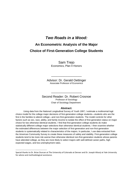### *Two Roads in a Wood:*

## **An Econometric Analysis of the Major Choice of First-Generation College Students**

Sam Trejo Economics, Plan II Honors

Advisor: Dr. Gerald Oettinger Associate Professor of Economics

\_\_\_\_\_\_\_\_\_\_\_\_\_\_\_\_\_\_

Second Reader: Dr. Robert Crosnoe Professor of Sociology Chair of Sociology Department

\_\_\_\_\_\_\_\_\_\_\_\_\_\_\_\_\_\_

#### **Abstract:**

Using data from the National Longitudinal Survey of Youth 1997, I estimate a multinomial logit choice model for the college major decisions of first-generation college students—students who are the first in the families to attend college—and non-first-generation students. The model controls for other factors such as sex, race, ability, and family income to isolate the effect of first-generation status on major choice for two otherwise identical students. I find that first-generation college students do make statistically different college major selections than otherwise identical students. I then examine whether the estimated differences between the major selection of first-generation and non-first-generation students is systematically related to characteristics of the majors. In particular, I use data extracted from the American Community Survey to create these measures of safety and stability. First-generation college students tend to be more risk averse than otherwise identical non-first-generation students whose parents have attended college, as they are more likely to select majors with well-defined career paths, high expected wages, and low unemployment rates.

Special thanks to Dr. Brian Duncan at The University of Colorado at Denver and Dr. Joseph Altonji at Yale University for advice and methodological assistance.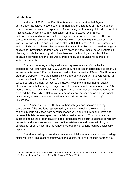#### **Introduction:**

 $\overline{a}$ 

In the fall of 2015, over 13 million American students attended 4-year universities<sup>2</sup>. Needless to say, not all 13 million students attended similar colleges or received a similar academic experience. An incoming freshman might decide to enroll at Arizona State University with annual tuition of about \$10,000, over 65,000 undergraduates, and a mix of small and large lectures classes to receive a B.S. in computer science. Contrastingly, another incoming freshmen might instead enroll at Vassar College, with an annual tuition of almost \$50,000, under 2,500 undergraduates, and small, discussion based classes to receive a B.A. in Philosophy. The wide range of educational institutions, degrees, and majors present in the United States illustrates a diversity in both the pedagogical philosophies and methodologies held by higher education providers and the resources, preferences, and educational interests of individual students.

To many students, a college education represents a transformative life experience. As Plato wrote over 2000 years ago, "the object of education is to teach us to love what is beautiful," a sentiment echoed on the University of Texas Plan II Honors program's website. There the interdisciplinary liberal arts program is advertised as "an education without boundaries," one "for a life, not for a living." To other students, a college education simply represents a practical investment in their human capital, affording degree holders higher wages and other rewards in the labor market. In 1967, then Governor of California Ronald Reagan embodied this outlook when he famously criticized the University of California system for offering courses on organizing social movements, arguing there was no value in "subsidizing intellectual curiosity" at universities.

Most American students likely view their college education as a healthy compromise of the positions represented by Plato and President Reagan. That is, students pursue education both because it adds value and texture to their lives and because it builds human capital that the labor market rewards. Though normative questions about the proper goals of "good" education are difficult to address concretely, the social and economic repercussions of the existence of a diverse set of higher educational opportunities, like the range of college major options, can be analytically explored.

A student's college major decision is not a trivial one; not only does each college major require a unique set of coursework and talents, but not all college degrees are

<sup>2</sup> "College Enrollment and Work Activity of 2014 High School Graduates." U.S. Bureau of Labor Statistics. U.S. Bureau of Labor Statistics, 16 Apr. 2015. Web. 26 Aug. 2015.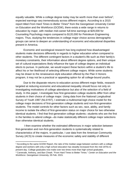equally valuable. While a college degree today may be worth more than ever before<sup>3</sup>, expected earnings vary tremendously across different majors. According to a 2015 report titled From Hard Times to Better Times<sup>4</sup> from the Georgetown University Center on Education and the Workforce (GCEW), there exists a wide range in returns to education by major, with median mid-career full-time earnings at \$29,000 for Counseling Psychology majors compared to \$120,000 for Petroleum Engineering majors. Thus, studying the tendencies in college major choice across demographic groups can serve to deepen an understanding of economic and educational disparities present in America.

Economic and sociological research has long explored how disadvantaged students make decisions differently in regards to higher education when compared to other students. The different contingent factors in a student's life such as their family's monetary constraints, their information about different degree options, and their unique set of cultural expectations likely influence the type of college degree an individual elects to pursue. In particular, we would expect these factors within a student's life to affect his or her likelihood of selecting different college majors. While some students may be drawn to the renaissance-style education offered by the Plan II Honors program, it may not be a practical or appealing option for all college-bound youths.

Due to the disparate returns to education across different major fields, research targeted at reducing economic and educational inequality should focus not only on investigating motivations of college attendance but also of the selection of a field of study. In this paper, I investigate how first-generation college students differ from other students in their choice of college major. Using data from the National Longitudinal Survey of Youth 1997 (NLSY97), I estimate a multinomial logit choice model for the college major decisions of first-generation college students and non-first-generation students. The model controls for other factors such as sex, race, ability, and family income to isolate the effect of first-generation status on major choice for two otherwise identical students. I find that first-generation college students—students who are the first in the families to attend college—do make statistically different college major selections than otherwise identical students.

I then examine whether the estimated differences in major selection between first-generation and non-first-generation students is systematically related to characteristics of the majors. In particular, I use data from the American Community Survey (ACS) to create measures of the economic safety and stability of different

<sup>&</sup>lt;sup>3</sup> According to the same GCEW Report, the ratio of the median wage between workers with a college degree and workers with only a high school education has steadily increased from the mid-1970s to present day. College graduates now make over two times more than high school graduates.

<sup>4</sup> Carnevale, Anthony, and Ban Cheah. "From Hard Times to Better Times." *Center on Education and the Workforce*. Georgetown University, 05 Feb. 2015.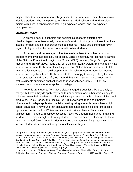majors. I find that first-generation college students are more risk averse than otherwise identical students who have parents who have attended college and tend to select majors with a well-defined career path, high expected wages, and low expected unemployment.

#### **Literature Review:**

 $\overline{\phantom{a}}$ 

A growing body of economic and sociological research explores how disadvantaged students—namely members of certain minority groups, those from lowincome families, and first-generation college students—make decisions differently in regards to higher education when compared to other students.

For example, disadvantaged minorities are less likely than other groups to prepare themselves academically for college. Using a nationally representative sample of the National Educational Longitudinal Study (NELS) data set, Stage, Droogsma-Musoba, and Brown<sup>5</sup> (2002) found that, controlling for ability, Asian American and White students were more likely than Black, Hispanic, and Native American students to take mathematics courses that would prepare them for college. Furthermore, low-income students are significantly less likely to decide to even apply to college. Using the same data set, Cabrera and La Nasa<sup>6</sup> (2002) found that while 76% of high socioeconomic status students submitted applications to four-year colleges, only 21.3% of low socioeconomic status students applied to college.

Not only are students from these disadvantaged groups less likely to apply to college, but when they do apply they tend to under-match, or in other words, apply to colleges below their academic ability level. Using a recent sample of Texas high school graduates, Black, Cortez, and Lincove<sup>7</sup> (2014) investigated race and ethnicity differences in college application decision-making using a sample recent Texas high school graduates. They found that disadvantaged minorities exhibit different college application decisions than Whites and Asians with similar levels of academic achievement. Inequality in college access is magnified through these under-matching tendencies of minority high-performing students. This reinforces the findings of Hoxby and Christopher<sup>8</sup> (2012), who first demonstrated the tendency of high-achieving lowincome students to choose not to apply to selective colleges.

<sup>5</sup> Stage, F. K., Droogsma-Musoba, G., & Brown, C. (2002, April). *Mathematics achievement: Racialethnicity and course taking patterns.* American Educational Research Association, New Orleans. <sup>6</sup> Cabrera, A. F., & La Nasa, S. M. (2000a). Overcoming the tasks on the path to college for America's disadvantaged. In A. Cabrera & S. La Nasa (Eds.), *Understanding the college choice of disadvantaged students.* New Directions for Institutional Research, No. 107, pp. 31-44. San Francisco: Jossey-Bass. <sup>7</sup> Black, Sandra, Kalena Cortes, and Jane Lincove. "You Have to Apply Yourself: Racial and Ethnic Differences in College Application." Working Paper (2014). 1 Jan. 2015.

<sup>&</sup>lt;sup>8</sup> Hoxby, Caroline, and Christopher Avery. "The Missing "One-Offs": The Hidden Supply of High-Achieving, Low Income Students." National Bureau of Economic Research (2012): Working Paper. Web.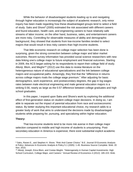While the behavior of disadvantaged students leading up to and navigating through higher education is increasingly the subject of academic research, only minor inquiry has been made regarding how these disadvantaged groups tend to select a field of study. Saks and Shore<sup>9</sup> (2005) estimated the risk associated with different careers and found education, health care, and engineering careers to have relatively safe streams of labor income; on the other hand, business, sales, and entertainment careers are more risky. Controlling for observable measures of ability and demographic background, they showed that students from low-income families tended to select majors that would result in less risky careers than high-income students.

That little economic research on college major selection has been done is surprising, given the strong connection between college major and labor market outcomes. Recent survey information has provided social science researchers with new data linking one's college major to future employment and financial outcomes. Starting in 2009, the ACS began asking for its respondents to report their college field of study. Altonji, Blom, and Meghir<sup>10</sup> (2012) use this data to review literature on the heterogeneous nature of educational specializations and the link between college majors and occupational paths. Amazingly, they find that the "difference in returns across college majors rivals the college wage premium." After adjusting for basic demographics, work experience, and postsecondary degrees, the gap in log wages rates between male electrical engineering and male general education majors is a striking 0.56, nearly as large as the 0.57 difference between college graduates and high school graduates.

In this paper, I expand upon Saks and Shore's work by exploring the additional effect of first-generation status on student college major decisions. In doing so, I am able to separate out the impact of parental education from race and socioeconomic status. By better studying this important educational choice, my research adds to a greater body of work that aims to understand the decisions made by disadvantaged students while preparing for, pursuing, and specializing within higher education.

#### **Theory:**

l

That low-income students tend to be more risk averse in their college major selection compared to middle and high-income of students is unsurprising. Postsecondary education in America is expensive; there exist substantial explicit academic

<sup>9</sup> Saks, Raven E., and Stephen H. Shore. "Risk And Career Choice." B.E. Journal Of Economic Analysis & Policy: Advances In Economic Analysis & Policy 5.1 (2005): 1-45. Business Source Complete. Web. 20 Nov. 2015.

<sup>&</sup>lt;sup>10</sup> Altonji, Joseph, Erica Blom, and Costas Meghir. "Heterogeneity in Human Capital Investments: High School Curriculum, College Major, and Careers." Annual Review of Economics 4 (2012): 185-223. Web.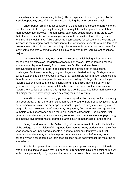costs to higher education (namely tuition). These explicit costs are heightened by the implicit opportunity cost of the forgone wages during the time spent in school.

Under perfect credit market conditions, a student might choose to borrow money now for the cost of college only to repay the money later with improved future labor market outcomes. However, human capital cannot be collateralized in the same way that other investments can be, making educational loans riskier than other types of lending. This credit market failure drives up interest rates for college loans, causing an increase in the marginal cost of education for the low-income students who are forced to take out loans. For this reason, attending college may only be a rational investment for low-income students wishing to specialize in a narrower, more lucrative set of college majors.

My research, however, focuses on the extent to which being a first-generation college student affects an individual's college major choice. First-generation college students are disproportionately from low-income families and members of disadvantaged minority groups in addition to facing a unique set of educational challenges. For these students, going to college is uncharted territory. First-generation college students are likely exposed to less or at least different information about college than those students whose parents have attended college. College, like most things, rewards students with both explicit financial returns and also intangible utility. Firstgeneration college students may lack family member accounts of the non-financial rewards to a college education, leading them to give the expected labor market rewards of a major more relative weight when selecting their field of study.

In addition, because pursuing postsecondary education is atypical for their family and peer group, a first-generation student may be forced to more frequently justify his or her decision or articulate his or her post-graduation plans, thereby incentivizing a more pragmatic major selection. Preference may be given by first-generation college students to majors with higher wages and a more well-defined career path. For example, firstgeneration students might avoid studying areas such as communications or psychology and instead give preference to degrees in areas such as healthcare or engineering.

Being asked to answer the "Why college?" question might also alter the timeline of the college major decision of first-generation students. Many students enter their first year of college as undeclared students or adopt a major only tentatively, but firstgeneration students may experience pressure to select a major before they get to college. When a student makes their specialization could easily impact the major he or she selects.

Finally, first-generation students are a group comprised entirely of individuals who are is making a decision that is a departure from their familial and social norms. An individual's propensity to "go against the grain" and make such a choice could be the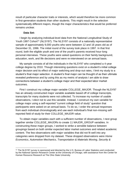result of particular character traits or interests, which would therefore be more common in first-generation students than other students. This might result in the selection systematically different majors, though the major characteristics that would be preferred remains unclear.

#### **Data Set:**

 $\overline{\phantom{a}}$ 

I begin by analyzing individual-level data from the National Longitudinal Study of Youth 1997 Cohort<sup>11</sup> (NLSY97). The NLSY97 consists of a nationally representative sample of approximately 9,000 youths who were between 12 and 16 years old as of December 31, 1996. The initial round of the survey took place in 1997. In that first round, both the eligible youth and one of the youth's parents received hour-long personal interviews. These youths were asked questions on their family background, education, work, and life decisions and were re-interviewed on an annual basis.

My sample consists of all the individuals in the NLSY97 who completed a 4-year college degree by 2010. Though interesting questions exist on a student's initial college major decision and its effect of major switching and drop-out rates, I limit my study to a student's final major selection. A student's final major can be thought of as their ultimate revealed preference and by using this as my metric of analysis I am able to draw connections between a student's college major and their expected labor market outcomes.

First I construct my college major variable COLLEGE\_MAJOR. Though the NLSY97 has an already constructed major variable available based off of college transcripts, transcripts for many students were not collected. To increase my number of usable observations, I elect not to use this variable. Instead, I construct my own variable for college major using a self-reported "current college field of study" question that participants were asked on an annual basis. To do so, I order the annual responses from each individual chronologically and use each individual's final non-missing selfreported field of study for their COLLEGE\_MAJOR value.

To obtain major variables each with a sufficient number of observations, I next group together similar COLLEGE\_MAJORs to create 11 MAJOR\_GROUP variables. In constructing these major groups, I worked to strike a sensible balance between groupings based on both similar expected labor market outcomes and related academic content. The few observations with major variables that did not fit well into any categories were dropped from my dataset. These dropped observations were *Home Economics*, *Automotive Mechanics*, *Transportation & Materials Moving*, *Security &*

<sup>11</sup> The NLSY97 survey is sponsored and directed by the U.S. Bureau of Labor Statistics and conducted by the National Opinion Research Center at the University of Chicago, with assistance from the Center for Human Resource Research at The Ohio State University.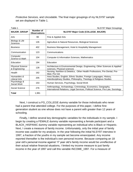*Protective Services,* and *Uncodable*. The final major groupings of my NLSY97 sample set are displayed in Table 1.

| Table 1                                  |                                  | <b>NLSY97 Major Groupings</b>                                                                                                                   |
|------------------------------------------|----------------------------------|-------------------------------------------------------------------------------------------------------------------------------------------------|
| <b>MAJOR_GROUP</b>                       | Number of<br><b>Observations</b> | <b>NLSY97 Major Code (COLLEGE_MAJOR)</b>                                                                                                        |
| Arts                                     | 99                               | Fine & Applied Arts                                                                                                                             |
| Biology & Life<br><b>Sciences</b>        | 135                              | Agriculture & Natural Resources, Biological Sciences                                                                                            |
| <b>Business</b>                          | 402                              | Business Management, Hotel & Hospitality Management                                                                                             |
| Communication                            | 123                              | Communications                                                                                                                                  |
| Computer<br>Science & Math               | 104                              | Computer & Information Sciences, Mathematics                                                                                                    |
| Education                                | 194                              | Education                                                                                                                                       |
| <b>Physical Science</b><br>& Engineering | 128                              | Architecture & Environmental Design, Engineering, Other Sciences & Applied<br>sciences, Physical sciences                                       |
| Health                                   | 162                              | Nursing, Nutrition & Dietetics, Other Health Professions, Pre-Dental, Pre-<br>Med, Pre-Vet                                                      |
| Humanities &<br>Liberal Arts             | 205                              | Area Studies, English, Ethnic Studies, Foreign Languages, History,<br>Interdisciplinary Studies, Philosophy, Theology & Religious Studies       |
| Psychology &<br>Social Work              | 153                              | Human Services, Psychology, Social Work                                                                                                         |
| Social Science                           | 276                              | Anthropology, Archaeology, Criminology, Economics, Geography,<br>International Relations, Legal Services, Political Science, Pre-Law, Sociology |
| Total                                    | 1,981                            |                                                                                                                                                 |

Next, I construct a FG\_COLLEGE dummy variable for those individuals who never had a parent that attended college. For the purposes of this paper, I define firstgeneration student as one whose does not have a parent with greater than 12 years of schooling.

Finally, I define several key demographic variables for the individuals in my sample. I begin by creating a FEMALE dummy variable representing a female participant and a BLACK\_HISPANIC dummy variable representing an individual who is Black or Hispanic. Next, I create a measure of family income. Unfortunately, only the initial year of family income was usable for my analysis. In the year following the initial NLSY97 interview in 1997, a fraction of the youths in my sample set become emancipated. Any income reported thereafter is the individual's own personal income. Because comparing an 18 year old's personal income against 17 year old's family income would be unreflective of their actual relative financial situations, I limited my income measure to just family income in the year of 1997 and call this variable INCOME\_1997. For a measure of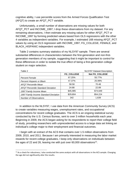cognitive ability, I use percentile scores from the Armed Forces Qualification Test (AFQT) to create an AFQT\_PCT variable.

Unfortunately, a small number of observations are missing values for both AFQT PCT and INCOME 1997; I drop these observations from my dataset. For any remaining observations, I then estimate any missing values for either AFQT\_PCT or INCOME\_1997 by forming predicted values based from OLS regressions with the other 4 variables as independent variables. For example, I estimated 168 missing AFQT\_PCT values by using an OLS regression with INCOME\_1997, FG\_COLLEGE, FEMALE, and BLACK\_HISPANIC independent variables.

Table 2 contains summary statistics of my NLSY97 sample. There are several substantial differences in characteristics between the first-generation and non-firstgeneration members of my sample, suggesting that it might be important to control for these differences in order to isolate the true effect of being a first-generation college student on major selection.

| Table 2                                   | <b>NLSY97 Dataset Description</b> |                |  |  |  |
|-------------------------------------------|-----------------------------------|----------------|--|--|--|
|                                           | <b>FG COLLEGE</b>                 | Not FG_COLLEGE |  |  |  |
| <b>Percent Female</b>                     | 67.25%                            | 55.77%         |  |  |  |
| Percent Hispanic or Black                 | 47.37%                            | 25.99%         |  |  |  |
| <b>AFQT Percentile Mean</b>               | 58.58                             | 70.48          |  |  |  |
| <b>AFQT Percentile Standard Deviation</b> | 24.88                             | 22.89          |  |  |  |
| 1997 Family Income Mean                   | \$45,985                          | \$74,649       |  |  |  |
| 1997 Family Income Standard Deviation     | \$29,804                          | \$54,224       |  |  |  |
| <b>Number of Observations</b>             | 342                               | 1,639          |  |  |  |

In addition to the NLSY97, I use data from the American Community Survey (ACS) to create variables measuring wages, unemployment rates, and occupational concentrations for recent college graduates. The ACS is an ongoing statistical survey conducted by the U.S. Census Bureau, sent to over 3 million households each year. Beginning in 2009, the ACS began asking for its respondents to report their college field of study, providing researchers with unprecedented access to a large data set linking an individual's college major to their employment and financial outcomes.

I begin with an extract of the ACS that contains over 1.5 million observations from 2009, 2010, and 2011. Because I am primarily interested in measuring the labor market rewards for recent college graduates, I keep only observations on individuals between the ages of 22 and 26, leaving me with just over 60,000 observations<sup>12</sup>.

<sup>&</sup>lt;sup>12</sup> As a check for robustness, I also conducted the same analysis with all observations in the ACS sample. Changing the age did not significantly alter the results.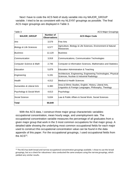Next I have to code the ACS field of study variable into my MAJOR\_GROUP variable. I tried to be as consistent with my NLSY97 groupings as possible. The final ACS major groupings are displayed in Table 3.

 $\overline{a}$ 

ACS Major Groupings

| <b>MAJOR_GROUP</b>                 | Number of<br><b>Observations</b> | <b>ACS Major Code</b>                                                                                           |
|------------------------------------|----------------------------------|-----------------------------------------------------------------------------------------------------------------|
| Arts                               | 3,579                            | <b>IFine Arts</b>                                                                                               |
| <b>Biology &amp; Life Sciences</b> | 6,577                            | Agriculture, Biology & Life Sciences, Environment & Natural<br>Resources                                        |
| <i><b>Business</b></i>             | 12,120                           | <b>IBusiness</b>                                                                                                |
| Communication                      | 3,918                            | Communications, Communication Technologies                                                                      |
| Computer Science & Math            | 2,746                            | Computer & Information Sciences, Mathematics and Statistics                                                     |
| Education                          | 5,879                            | <b>Education Administration &amp; Teaching</b>                                                                  |
| Engineering                        | 5,191                            | Architecture, Engineering, Engineering Technologies, Physical<br>Sciences, Nuclear & Industrial Radiology       |
| Health                             | 4,012                            | lMedical & Health Sciences                                                                                      |
| Humanities & Liberal Arts          | 6,380                            | Area & Ethnic Studies, English, History, Liberal Arts,<br>Linguistics & Foreign Languages, Philosophy, Theology |
| Psychology & Social Work           | 4,613                            | Psychology                                                                                                      |
| Social Science                     | 5,634                            | Law & Public Affairs & Social Work, Social Sciences                                                             |
| Total                              | 60,649                           |                                                                                                                 |

With the ACS data, I construct three major group characteristic variables: occupational concentration, mean hourly wage, and unemployment rate. The occupational concentration variable measures the percentage of all graduates from a given major group that work in the 3 most common occupations for that major group. A detailed table showing the underlying most common occupational fields for each major used to construct this occupational concentration value can be found in the data appendix of this paper. For the occupational groupings, I used occupational fields from the  $ACS^{13}$ .

<sup>&</sup>lt;sup>13</sup> The ACS has both broad and narrow occupational concentration groupings available. I chose to use the broad groupings, but as a check for robustness I also conducted the same analyses using the narrow groupings, which yielded very similar results.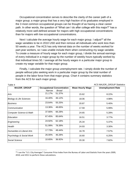Occupational concentration serves to describe the clarity of the career path of a major group; a major group that has a very high fraction of its graduates employed in the 3 most common occupational groups can be thought of as having a clear career path. In other words, the question of "What can I do after college with this major?" has a relatively more well-defined answer for majors with high occupational concentrations than for majors with low occupational concentrations.

Next I calculate the average hourly wage for each major group. I adjust<sup>14</sup> all the wage variables to be in 2010 USD and then remove all individuals who work less than 50 weeks a year. The ACS has only interval data on the number of weeks worked for part-year workers, so I was unable include them when constructing my wage variable. To create a measure of hourly wage for each major group, I divide the annual earnings of every individual in a major group by the number of weekly hours typically worked by that individual times 50. I average all the hourly wages in a particular major group to create my wage variable for that major group.

Finally, I calculate the major group unemployment rate. I simply divide the number of people without jobs seeking work in a particular major group by the total number of people in the labor force from that major group. Chart 4 contains summary statistics from the ACS for each major group.

| Table 4                              |                                   |                         | <b>ACS MAJOR_GROUP Statistics</b> |
|--------------------------------------|-----------------------------------|-------------------------|-----------------------------------|
| <b>MAJOR_GROUP</b>                   | <b>Occupational Concentration</b> | <b>Mean Hourly Wage</b> | <b>Unemployment Rate</b>          |
|                                      | Narrow<br><b>Broad</b>            |                         |                                   |
| Arts                                 | 21.17%<br>51.37%                  | 15.62                   | 8.22%                             |
| <b>Biology &amp; Life Sciences</b>   | 16.40%<br>46.12%                  | 18.06                   | 4.98%                             |
| <b>Business</b>                      | 23.64%<br>55.25%                  | 20.87                   | 5.40%                             |
| Communication                        | 13.36%<br>48.65%                  | 17.59                   | 5.99%                             |
| <b>Computer Science &amp; Math</b>   | 66.28%<br>37.66%                  | 24.65                   | 5.28%                             |
| Education                            | 67.45%<br>85.64%                  | 16.51                   | 3.77%                             |
| Engineering                          | 62.18%<br>24.92%                  | 25.34                   | 5.37%                             |
| Health                               | 78.39%<br>51.99%                  | 24.93                   | 3.30%                             |
| <b>Humanities &amp; Liberal Arts</b> | 17.73%<br>49.44%                  | 16.78                   | 7.57%                             |
| Psychology & Social Work             | 26.00%<br>46.28%                  | 16.60                   | 6.25%                             |
| Social Science                       | 10.65%<br>36.92%                  | 20.30                   | 7.82%                             |

<sup>&</sup>lt;sup>14</sup> I use the "U.S. City Averages" Consumer Price Index from the Bureau of Labor and Statistic from the years 2009, 2010, and 2011 to perform these calculations.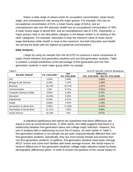Notice a wide range of values exists for occupation concentration, mean hourly wage, and unemployment rate among the major groups. For example, *Arts* has an occupational concentration of 51%, a mean hourly wage of \$15.6, and an unemployment rate over 8% whereas *Health* has an occupational concentration of 78%, a mean hourly wage of almost \$25, and an unemployment rate of 3.3%. Importantly, a major group's rank in one descriptive category is not always similar to its ranking in the other categories. For example, *Education* is near the minimum value of mean hourly wage distribution while *Health* is close to the maximum, but both *Education* and *Health* are among the fields with the highest occupational concentrations.

#### **Data Analysis:**

I begin by using my sample from the NLSY97 to construct a naïve comparison of major choice between first-generation students and non-first-generation students. Table 5 contains a simple breakdown of the percentage of first-generation and non-firstgeneration students in each major group within my sample.

| Table 5                              |                   |                                 | NLSY97 MAJOR GROUP Breakdown                       |
|--------------------------------------|-------------------|---------------------------------|----------------------------------------------------|
| <b>MAJOR GROUP</b>                   | <b>FG COLLEGE</b> | <b>Not</b><br><b>FG COLLEGE</b> | <b>Difference</b><br>(FG_COLLEGE - Not FG_COLLEGE) |
| Arts                                 | 2.63%             | 5.49%                           | $-2.86%$                                           |
| <b>Biology &amp; Life Science</b>    | 5.26%             | 7.14%                           | $-1.88%$                                           |
| <b>Business</b>                      | 18.13%            | 20.74%                          | $-2.61%$                                           |
| Communication                        | 3.8%              | 6.71%                           | $-2.91%$                                           |
| <b>Computer Science &amp; Math</b>   | 5.56%             | 5.19%                           | 0.37%                                              |
| Education                            | 13.45%            | 9.03%                           | 4.42%                                              |
| Engineering                          | 6.43%             | 6.47%                           | $-0.04%$                                           |
| Health                               | 9.65%             | 7.87%                           | 1.78%                                              |
| <b>Humanities &amp; Liberal Arts</b> | 5.85%             | 11.29%                          | $-5.44%$                                           |
| Psychology & Social Work             | 11.11%            | 7.02%                           | 4.09%                                              |
| Social Science                       | 18.13%            | 13%                             | 5.07%                                              |

A statistical significance test rejects the hypothesis that these differences are equal to zero at conventional levels. In other words, this table suggests that there is a relationship between first-generation status and college major selection. However, this sort of analysis fails in addressing my true line of inquiry. As seen earlier in Table 2, first-generation students in my sample set are quite characteristically different than nonfirst-generation students. Specifically, they are more heavily female and minority than non-first-generation students. In addition, first-generation students have lower average AFQT scores and come from families with lower average income. We would expect to observe differences in first-generation students' college major selection fueled by these demographic differences alone. In order to answer the question of the causal impact of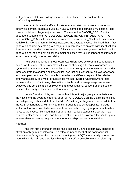first-generation status on college major selection, I need to account for these confounding variables.

In order to isolate the effect of first-generation status on major choice for two otherwise identical students, I use my NLSY97 sample to estimate a multinomial logit choice model for college major decisions. The model has MAJOR\_GROUP as its dependent variable and FG\_COLLEGE, FEMALE, BLACK\_HISPANIC, AFQT\_PCT, and INCOME\_1997 as its independent variables. Because FG\_COLLEGE is a dummy variable, its average marginal effect measures the average excess likelihood that a firstgeneration student selects a given major group compared to an otherwise identical nonfirst-generation student. We can think of this value as the average effect of being a firstgeneration college student on college major selection that is independent of differences in sex, race, family income, and ability.

I next examine whether these estimated differences between a first-generation and a non-first-generation students' likelihood of choosing different major groups are systematically related to the characteristics of the major groups themselves. I consider three separate major group characteristics: occupational concentration, average wage, and unemployment rate. Each one is illustrative of a different aspect of the relative safety and stability of a major group's labor market rewards. Unemployment rates represent the risk of not being able to find suitable work, average wages represent expected pay conditional on employment, and occupational concentration serves to describe the clarity of the career path of a major group.

I create 3 scatter plots, each one with a different major group characteristic on the x-axis and the average marginal effect of FG\_COLLEGE on the y-axis. Here, I link my college major choice data from the NLSY97 with my college major returns data from the ACS. Unfortunately, with only 11 major groups to use as data points, rigorous statistical tools are unsuited to measure how precisely a major group's characteristics relate to the excess likelihood that first-generation college students select that major relative to otherwise identical non-first-generation students. However, the scatter plots at least allow for a visual inspection of the relationship between the variables.

#### **Results:**

I find that first-generation status has a statistically and economically significant effect on college major selection. This effect is independent of the compositional differences of first-generation students, including sex, AFQT score, family income, and race (which also all have a statistically significant effect on college major selection).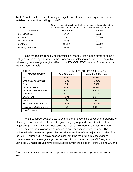Table 6 contains the results from a joint significance test across all equations for each variable in my multinomial logit model<sup>15</sup>.

| Table 6               | Significance test results for the hypothesis that the coefficients on<br>a variable are 0 in all equations of the multinomial logit model |         |  |  |  |
|-----------------------|-------------------------------------------------------------------------------------------------------------------------------------------|---------|--|--|--|
| Variable              | Chi <sup>2</sup> Statistic                                                                                                                | P-value |  |  |  |
| FG COLLEGE            | 24.84                                                                                                                                     | 0.0057  |  |  |  |
| AFQT PCT              | 58.1                                                                                                                                      | 0.0000  |  |  |  |
| INCOME 1997           | 17.15                                                                                                                                     | 0.0711  |  |  |  |
| <b>FEMALE</b>         | 181.59                                                                                                                                    | 0.0000  |  |  |  |
| <b>BLACK HISPANIC</b> | 32.29                                                                                                                                     | 0.0004  |  |  |  |

Using the results from my multinomial logit model, I isolate the effect of being a first-generation college student on the probability of selecting a particular of major by calculating the average marginal effect of the FG\_COLLEGE variable. These impacts are displayed in table 7.

| Table 7                              | Logit Model FG_COLLEGE Difference Results |                            |  |  |  |
|--------------------------------------|-------------------------------------------|----------------------------|--|--|--|
| <b>MAJOR_GROUP</b>                   | <b>Raw Difference</b>                     | <b>Adjusted Difference</b> |  |  |  |
| Arts                                 | $-2.86$                                   | $-2.89%$                   |  |  |  |
| <b>Biology &amp; Life Sciences</b>   | $-1.88$                                   | $-0.85%$                   |  |  |  |
| <b>Business</b>                      | $-2.61$                                   | $-0.93%$                   |  |  |  |
| Communication                        | $-2.91$                                   | $-3.33%$                   |  |  |  |
| <b>Computer Science &amp; Math</b>   | 0.37                                      | 0.92%                      |  |  |  |
| Education                            | 4.42                                      | 2.73%                      |  |  |  |
| Engineering                          | $-0.04$                                   | 2.34%                      |  |  |  |
| Health                               | 1.78                                      | 1.40%                      |  |  |  |
| <b>Humanities &amp; Liberal Arts</b> | $-5.44$                                   | $-6.20%$                   |  |  |  |
| Psychology & Social Work             | 4.09                                      | 3.08%                      |  |  |  |
| Social Science                       | 5.07                                      | 3.73%                      |  |  |  |

Next, I construct scatter plots to examine the relationship between the propensity of first-generation students to select a given major group and characteristics of that major group. The vertical axis measures the excess likelihood that a first-generation student selects the major group compared to an otherwise identical student. The horizontal axis measures a particular descriptive statistic of the major group, taken from the ACS. Figures 1 & 2 display scatter plots using the major group's occupational concentration and average wage, respectively. In both cases, simple OLS regressions using the 11 major groups have positive slopes, with the slope in Figure 1 being .26 and

 $15$  A full table of results from the multinomial logit model can be found in the data appendix at the end of this paper.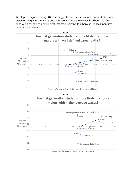the slope in Figure 2 being .40. This suggests that as occupational concentration and expected wages of a major group increase, so does the excess likelihood that firstgeneration college students select that major relative to otherwise identical non-first generation students.



**Figure 2** Arts Biology and Life Sciences  $\upphi$  5 10 15  $\to$  20 Business 25 30 Communication Computer Science and Math Education | **Education** | **Education** | **Education** | **Engineering** Health Humanities and Liberal Arts Psychology and Social Work **C** Social Science -8% -6% -4% -2% Marginal <sub>0%</sub> 2% 4% 6% Estimated **Differerence** Mean Hourly Wage in Major Group (2010 USD) **Are first generation students more likely to choose majors with higher average wages?**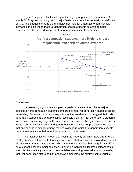Figure 3 displays a final scatter plot for major group unemployment rates. A simple OLS regression using the 11 major fields has a negative slope with a coefficient of -.39. This suggests that as the unemployment rate for graduates of a major field increases, the likelihood that first-generation college students select that major compared to otherwise identical non-first-generation students decreases.



#### **Discussion:**

My results highlight how a simple comparison between the college majors selected by first-generation students compared to non-first-generation students can be misleading. For example, a naïve inspection of the raw data would suggest that firstgeneration students are actually slightly less likely than non-first-generation's students to become engineering majors. However, when I control for the systematic differences in race, ability, family income, and gender between the two groups, it becomes clear that engineering is actually among the specializations which first-generation students prefer most relative to their non-first-generation counterparts.

The multinomial logit model that I estimate not only confirms Saks and Shore's (2005) findings on the effect of family income on a student's college major decision, but also shows that not having parents who have attended college has a significant effect on a student's college major selection. Though an individual's lifetime socioeconomic status is likely partially captured in any variable measuring parental education levels, that first-generation status had an effect even alongside the family income variable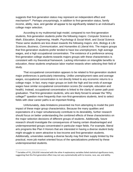suggests that first-generation status may represent an independent effect and mechanism<sup>16</sup>. Perhaps unsurprisingly, in addition to first-generation status, family income, ability, race, and gender all appear to be significantly related to an individual's college major selection.

According to my multinomial logit model, compared to non-first-generation students, first-generation students prefer the following majors: *Computer Science & Math*, *Education*, *Engineering*, *Health*, *Psychology & Social Work*, and *Social Science*. These same students are less drawn towards the following majors: *Arts*, *Biology & Life Sciences*, *Business*, *Communication*, and *Humanities & Liberal Arts*. The majors groups that first-generation students prefer tended to have low unemployment, high average wages, and a high occupational concentration. The existence of a preference among first-generation college students towards majors groups with these characteristics is consistent with my theoretical framework. Lacking information on intangible benefits to education, these students emphasize labor market rewards when selecting their field of study.

That occupational concentration appears to be related to first-generation student major preferences is particularly interesting. Unlike unemployment rates and average wages, occupational concentration is not directly linked to any economic returns to a college major. In fact, many major groups on both the high and low ends of average wages have similar occupational concentration scores (for example, education and health). Instead, occupational concentration is linked to the clarity of career path postgraduation. That first-generation students, who are likely forced to answer the "Why college?" question more frequently than non-first-generations students, tend to select fields with clear career paths is an important finding.

Unfortunately, data limitations prevented me from attempting to model the joint impact of these major group characteristics. Because the many qualities and expectations of a major simultaneously contribute to its desirability, further research should focus on better understanding the combined effects of these characteristics on the major selection decisions of different groups of students. Additionally, future research should investigate the consequences of having certain disadvantaged and underrepresented groups concentrated in particular major fields. For example, liberal arts programs like Plan II Honors that are interested in having a diverse student body might struggle to seem attractive to low-income and first-generation students. Additionally, universities seeking a diverse faculty may find their supply limited by the practical, more job market oriented focus of the specializations preferred by these underrepresented students.

 $16$  Variables of FG\_COLLEGE interacted with the other 4 explanatory variables failed statistical significance tests, suggesting that this first generation effect may not vary systematically with to income, race, sex, and ability.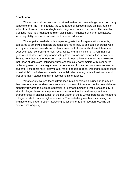#### **Conclusion:**

The educational decisions an individual makes can have a large impact on many aspects of their life. For example, the wide range of college majors an individual can select from have a correspondingly wide range of economic outcomes. The selection of a college major is a nuanced decision significantly influenced by numerous factors, including ability, sex, race, income, and parental education.

The empirical analysis in this paper suggests that first-generation students, compared to otherwise identical students, are more likely to select major groups with strong labor market rewards and a clear career path. Importantly, these differences exist even after controlling for sex, race, ability, and family income. Given that firstgeneration students are disproportionately from low-income families, this behavior is likely to contribute to the reduction of economic inequality over the long run. However, that these students are inclined towards economically safer majors with clear career paths suggests that they might be more constrained in their decisions relative to other students. If students have idiosyncratic, major-specific abilities, working to reduce these "constraints" could allow more suitable specialization among certain low-income and first-generation students and improve economic efficiency.

What exactly causes these differences in major selection is unclear. It may be that first-generation students receive less exposure to information on the potential nonmonetary rewards to a college education; or perhaps being the first in one's family to attend college places certain pressures on a student; or it could simply be that a characteristically-distinct subset of the population of those whose parents did not attend college decide to pursue higher education. The underlying mechanisms driving the findings of this paper present interesting questions for future research focusing on educational inequality.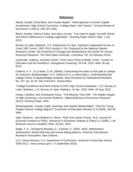#### **References**

Altonji, Joseph, Erica Blom, and Costas Meghir. "Heterogeneity in Human Capital Investments: High School Curriculum, College Major, and Careers." Annual Review of Economics 4 (2012): 185-223. Web.

Black, Sandra, Kalena Cortes, and Jane Lincove. "You Have to Apply Yourself: Racial and Ethnic Differences in College Application." Working Paper (2014): Web. 1 Jan. 2015.

Bureau of Labor Statistics, U.S. Department of Labor. National Longitudinal Survey of Youth 1997 cohort, 1997-2011 (rounds 1-15). Produced by the National Opinion Research Center, the University of Chicago and distributed by the Center for Human Resource Research, The Ohio State University. Columbus, OH. (8 February 2015).

Carnevale, Anthony, and Ban Cheah. "From Hard Times to Better Times." Center on Education and the Workforce. Georgetown University, 05 Feb. 2015. Web. 06 Apr. 2015.

Cabrera, A. F., & La Nasa, S. M. (2000a). Overcoming the tasks on the path to college for America's disadvantaged. In A. Cabrera & S. La Nasa (Eds.), Understanding the college choice of disadvantaged students. New Directions for Institutional Research, No. 107, pp. 31-44. San Francisco: Jossey-Bass.

"College Enrollment and Work Activity of 2014 High School Graduates." U.S. Bureau of Labor Statistics. U.S. Bureau of Labor Statistics, 16 Apr. 2015. Web. 26 Aug. 2015.

Hoxby, Caroline, and Christopher Avery. "The Missing "One-Offs": The Hidden Supply of High-Achieving, Low Income Students." National Bureau of Economic Research (2012): Working Paper. Web.

Montmarquette, Claude, Kathy Cannings, and Sophie Mahseredjian. "How Do Young People Choose College Majors?" Economics of Education Review 21.6 (2002): 543-56. Web.

Saks, Raven E., and Stephen H. Shore. "Risk And Career Choice." B.E. Journal Of Economic Analysis & Policy: Advances In Economic Analysis & Policy 5.1 (2005): 1-45. Business Source Complete. Web. 20 Nov. 2015.

Stage, F. K., Droogsma-Musoba, G., & Brown, C. (2002, April). Mathematics achievement: Racial-ethnicity and course taking patterns. American Educational Research Association, New Orleans.

U.S. Census Bureau, U.S. Department of Commerce. American Community Survey, 2009-2011. <www.census.gov>; (7 September 2015).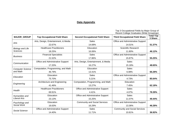#### **Data Appendix**

Top 3 Occupational Fields by Major Group of Recent College Graduates (Wide Groupings)

| <b>MAJOR_GROUP</b>      | <b>Top Occupational Field Share</b>  | <b>Second Occupational Field Share</b>                                                                                                                                                                                                                                                                                                                                                        | $\sim$ . a a a a a $\sim$ . $\sim$ .<br><b>Third Occupational Field Share</b> | <b>Total Top</b><br>3 Share |
|-------------------------|--------------------------------------|-----------------------------------------------------------------------------------------------------------------------------------------------------------------------------------------------------------------------------------------------------------------------------------------------------------------------------------------------------------------------------------------------|-------------------------------------------------------------------------------|-----------------------------|
| Arts                    | Arts, Design, Entertainment, & Media | <b>Sales</b>                                                                                                                                                                                                                                                                                                                                                                                  | Office and Administrative Support                                             |                             |
|                         | 22.67%                               | 14.69%                                                                                                                                                                                                                                                                                                                                                                                        | 14.01%                                                                        | 51.37%                      |
| <b>Biology and Life</b> | <b>Healthcare Practitioners</b>      | Education                                                                                                                                                                                                                                                                                                                                                                                     | Scientific Research                                                           |                             |
| <b>Sciences</b>         | 18.25%                               | 16.06%                                                                                                                                                                                                                                                                                                                                                                                        | 11.80%                                                                        | 46.12%                      |
| <b>Business</b>         | <b>Financial Specialists</b>         | <b>Sales</b>                                                                                                                                                                                                                                                                                                                                                                                  | Office and Administrative Support                                             |                             |
|                         | 21.52%                               | 17.86%                                                                                                                                                                                                                                                                                                                                                                                        | 15.87%                                                                        | 55.25%                      |
| Communication           | Office and Administrative Support    | Arts, Design, Entertainment, & Media                                                                                                                                                                                                                                                                                                                                                          | Sales                                                                         |                             |
|                         | 17.20%                               | 16.27%                                                                                                                                                                                                                                                                                                                                                                                        | 15.18%                                                                        | 48.65%                      |
| <b>Computer Science</b> | Computation, Programming, and Math   | Education                                                                                                                                                                                                                                                                                                                                                                                     | Sales                                                                         |                             |
| and Math                | 46.79%                               | 13.41%                                                                                                                                                                                                                                                                                                                                                                                        | 6.08%                                                                         | 66.28%                      |
| Education               | Education                            | <b>Sales</b>                                                                                                                                                                                                                                                                                                                                                                                  | Office and Administrative Support                                             |                             |
|                         | 75.70%                               | 5.21%<br>4.73%<br>Computation, Programming, and Math<br>Education<br>13.27%<br>7.45%<br>Office and Administrative Support<br><b>Sales</b><br>4.41%<br>4.07%<br>Office and Administrative Support<br><b>Sales</b><br>11.07%<br>15.25%<br><b>Community and Social Services</b><br>Office and Administrative Support<br>16.29%<br>13.36%<br><b>Sales</b><br><b>Community and Social Services</b> | 85.64%                                                                        |                             |
| Engineering             | Architecture and Engineering         |                                                                                                                                                                                                                                                                                                                                                                                               |                                                                               |                             |
|                         | 41.46%                               | 11.71%<br>10.81%                                                                                                                                                                                                                                                                                                                                                                              | 62.18%                                                                        |                             |
| Health                  | <b>Healthcare Practitioners</b>      |                                                                                                                                                                                                                                                                                                                                                                                               |                                                                               |                             |
|                         | 69.91%                               |                                                                                                                                                                                                                                                                                                                                                                                               |                                                                               | 78.39%                      |
| Humanities and          | Education                            |                                                                                                                                                                                                                                                                                                                                                                                               |                                                                               |                             |
| <b>Liberal Arts</b>     | 23.13%                               |                                                                                                                                                                                                                                                                                                                                                                                               |                                                                               | 49.44%                      |
| Psychology and          | Education                            |                                                                                                                                                                                                                                                                                                                                                                                               |                                                                               |                             |
| Social Work             | 16.63%                               |                                                                                                                                                                                                                                                                                                                                                                                               |                                                                               | 46.28%                      |
| Social Science          | Office and Administrative Support    |                                                                                                                                                                                                                                                                                                                                                                                               |                                                                               |                             |
|                         | 14.40%                               |                                                                                                                                                                                                                                                                                                                                                                                               |                                                                               | 36.92%                      |